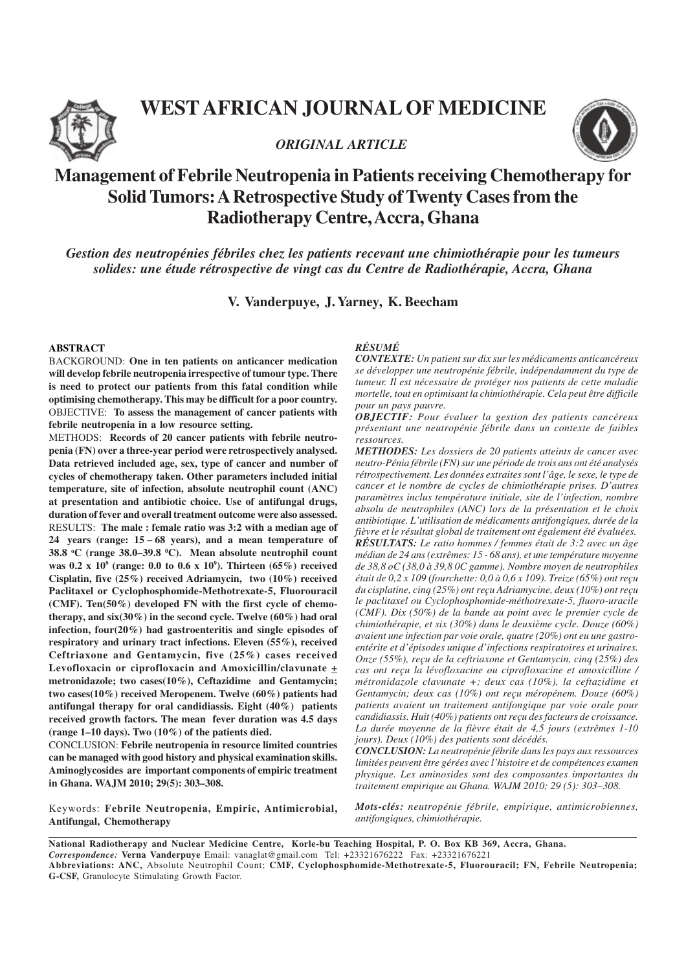





# **Management of Febrile Neutropenia in Patients receiving Chemotherapy for Solid Tumors: A Retrospective Study of Twenty Cases from the Radiotherapy Centre, Accra, Ghana**

*Gestion des neutropénies fébriles chez les patients recevant une chimiothérapie pour les tumeurs solides: une étude rétrospective de vingt cas du Centre de Radiothérapie, Accra, Ghana*

**V. Vanderpuye, J. Yarney, K. Beecham**

#### **ABSTRACT**

BACKGROUND: **One in ten patients on anticancer medication will develop febrile neutropenia irrespective of tumour type. There is need to protect our patients from this fatal condition while optimising chemotherapy. This may be difficult for a poor country.** OBJECTIVE: **To assess the management of cancer patients with febrile neutropenia in a low resource setting.**

METHODS: **Records of 20 cancer patients with febrile neutropenia (FN) over a three-year period were retrospectively analysed. Data retrieved included age, sex, type of cancer and number of cycles of chemotherapy taken. Other parameters included initial temperature, site of infection, absolute neutrophil count (ANC) at presentation and antibiotic choice. Use of antifungal drugs, duration of fever and overall treatment outcome were also assessed.** RESULTS: **The male : female ratio was 3:2 with a median age of 24 years (range: 15 – 68 years), and a mean temperature of 38.8 oC (range 38.0–39.8 0C). Mean absolute neutrophil count was 0.2 x 10<sup>9</sup> (range: 0.0 to 0.6 x 10<sup>9</sup> ). Thirteen (65%) received Cisplatin, five (25%) received Adriamycin, two (10%) received Paclitaxel or Cyclophosphomide-Methotrexate-5, Fluorouracil (CMF). Ten(50%) developed FN with the first cycle of chemotherapy, and six(30%) in the second cycle. Twelve (60%) had oral infection, four(20%) had gastroenteritis and single episodes of respiratory and urinary tract infections. Eleven (55%), received Ceftriaxone and Gentamycin, five (25%) cases received** Levofloxacin or ciprofloxacin and Amoxicillin/clavunate  $\pm$ **metronidazole; two cases(10%), Ceftazidime and Gentamycin; two cases(10%) received Meropenem. Twelve (60%) patients had antifungal therapy for oral candidiassis. Eight (40%) patients received growth factors. The mean fever duration was 4.5 days (range 1–10 days). Two (10%) of the patients died.**

CONCLUSION: **Febrile neutropenia in resource limited countries can be managed with good history and physical examination skills. Aminoglycosides are important components of empiric treatment in Ghana. WAJM 2010; 29(5): 303–308.**

Keywords: **Febrile Neutropenia, Empiric, Antimicrobial, Antifungal, Chemotherapy**

### *RÉSUMÉ*

*CONTEXTE: Un patient sur dix sur les médicaments anticancéreux se développer une neutropénie fébrile, indépendamment du type de tumeur. Il est nécessaire de protéger nos patients de cette maladie mortelle, tout en optimisant la chimiothérapie. Cela peut être difficile pour un pays pauvre.*

*OBJECTIF: Pour évaluer la gestion des patients cancéreux présentant une neutropénie fébrile dans un contexte de faibles ressources.*

*METHODES: Les dossiers de 20 patients atteints de cancer avec neutro-Pénia fébrile (FN) sur une période de trois ans ont été analysés rétrospectivement. Les données extraites sont l'âge, le sexe, le type de cancer et le nombre de cycles de chimiothérapie prises. D'autres paramètres inclus température initiale, site de l'infection, nombre absolu de neutrophiles (ANC) lors de la présentation et le choix antibiotique. L'utilisation de médicaments antifongiques, durée de la fièvre et le résultat global de traitement ont également été évaluées. RÉSULTATS: Le ratio hommes / femmes était de 3:2 avec un âge médian de 24 ans (extrêmes: 15 - 68 ans), et une température moyenne de 38,8 oC (38,0 à 39,8 0C gamme). Nombre moyen de neutrophiles était de 0,2 x 109 (fourchette: 0,0 à 0,6 x 109). Treize (65%) ont reçu du cisplatine, cinq (25%) ont reçu Adriamycine, deux (10%) ont reçu le paclitaxel ou Cyclophosphomide-méthotrexate-5, fluoro-uracile (CMF). Dix (50%) de la bande au point avec le premier cycle de chimiothérapie, et six (30%) dans le deuxième cycle. Douze (60%) avaient une infection par voie orale, quatre (20%) ont eu une gastroentérite et d'épisodes unique d'infections respiratoires et urinaires. Onze (55%), reçu de la ceftriaxone et Gentamycin, cinq (25%) des cas ont reçu la lévofloxacine ou ciprofloxacine et amoxicilline / métronidazole clavunate +; deux cas (10%), la ceftazidime et Gentamycin; deux cas (10%) ont reçu méropénem. Douze (60%) patients avaient un traitement antifongique par voie orale pour candidiassis. Huit (40%) patients ont reçu des facteurs de croissance. La durée moyenne de la fièvre était de 4,5 jours (extrêmes 1-10 jours). Deux (10%) des patients sont décédés.*

*CONCLUSION: La neutropénie fébrile dans les pays aux ressources limitées peuvent être gérées avec l'histoire et de compétences examen physique. Les aminosides sont des composantes importantes du traitement empirique au Ghana. WAJM 2010; 29 (5): 303–308.*

*Mots-clés: neutropénie fébrile, empirique, antimicrobiennes, antifongiques, chimiothérapie.*

**National Radiotherapy and Nuclear Medicine Centre, Korle-bu Teaching Hospital, P. O. Box KB 369, Accra, Ghana.** *Correspondence:* **Verna Vanderpuye** Email: vanaglat@gmail.com Tel: +23321676222 Fax: +23321676221 **Abbreviations: ANC,** Absolute Neutrophil Count; **CMF, Cyclophosphomide-Methotrexate-5, Fluorouracil; FN, Febrile Neutropenia; G-CSF,** Granulocyte Stimulating Growth Factor.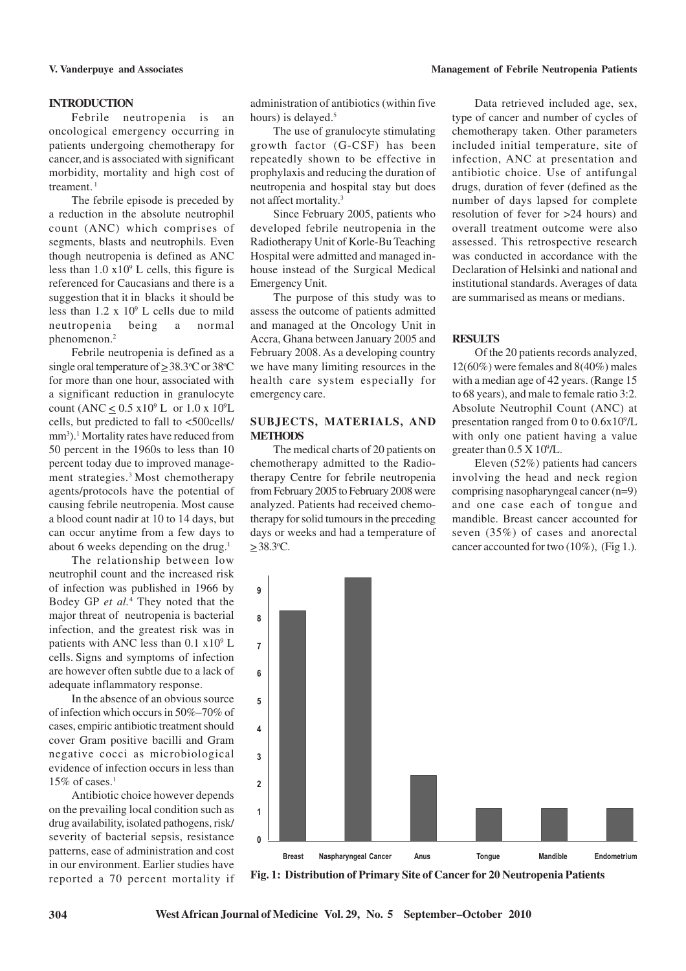#### **INTRODUCTION**

Febrile neutropenia is an oncological emergency occurring in patients undergoing chemotherapy for cancer,and is associated with significant morbidity, mortality and high cost of treament.<sup>1</sup>

The febrile episode is preceded by a reduction in the absolute neutrophil count (ANC) which comprises of segments, blasts and neutrophils. Even though neutropenia is defined as ANC less than  $1.0 \times 10^9$  L cells, this figure is referenced for Caucasians and there is a suggestion that it in blacks it should be less than  $1.2 \times 10^9$  L cells due to mild neutropenia being a normal phenomenon.<sup>2</sup>

Febrile neutropenia is defined as a single oral temperature of  $\geq 38.3$ °C or 38°C for more than one hour, associated with a significant reduction in granulocyte count (ANC  $\leq 0.5 \times 10^9$  L or 1.0 x 10<sup>9</sup>L cells, but predicted to fall to <500cells/ mm<sup>3</sup>).<sup>1</sup> Mortality rates have reduced from 50 percent in the 1960s to less than 10 percent today due to improved management strategies.3 Most chemotherapy agents/protocols have the potential of causing febrile neutropenia. Most cause a blood count nadir at 10 to 14 days, but can occur anytime from a few days to about 6 weeks depending on the drug.<sup>1</sup>

The relationship between low neutrophil count and the increased risk of infection was published in 1966 by Bodey GP *et al.*<sup>4</sup> They noted that the major threat of neutropenia is bacterial infection, and the greatest risk was in patients with ANC less than  $0.1 \times 10^9$  L cells. Signs and symptoms of infection are however often subtle due to a lack of adequate inflammatory response.

In the absence of an obvious source of infection which occurs in 50%–70% of cases, empiric antibiotic treatment should cover Gram positive bacilli and Gram negative cocci as microbiological evidence of infection occurs in less than 15% of cases.<sup>1</sup>

Antibiotic choice however depends on the prevailing local condition such as drug availability, isolated pathogens, risk/ severity of bacterial sepsis, resistance patterns, ease of administration and cost in our environment. Earlier studies have reported a 70 percent mortality if administration of antibiotics (within five hours) is delayed.<sup>5</sup>

The use of granulocyte stimulating growth factor (G-CSF) has been repeatedly shown to be effective in prophylaxis and reducing the duration of neutropenia and hospital stay but does not affect mortality. 3

Since February 2005, patients who developed febrile neutropenia in the Radiotherapy Unit of Korle-Bu Teaching Hospital were admitted and managed inhouse instead of the Surgical Medical Emergency Unit.

The purpose of this study was to assess the outcome of patients admitted and managed at the Oncology Unit in Accra, Ghana between January 2005 and February 2008. As a developing country we have many limiting resources in the health care system especially for emergency care.

# **SUBJECTS, MATERIALS, AND METHODS**

The medical charts of 20 patients on chemotherapy admitted to the Radiotherapy Centre for febrile neutropenia from February 2005 to February 2008 were analyzed. Patients had received chemotherapy for solid tumours in the preceding days or weeks and had a temperature of  $> 38.3$ <sup>o</sup>C.

Data retrieved included age, sex, type of cancer and number of cycles of chemotherapy taken. Other parameters included initial temperature, site of infection, ANC at presentation and antibiotic choice. Use of antifungal drugs, duration of fever (defined as the number of days lapsed for complete resolution of fever for >24 hours) and overall treatment outcome were also assessed. This retrospective research was conducted in accordance with the Declaration of Helsinki and national and institutional standards. Averages of data are summarised as means or medians.

# **RESULTS**

Of the 20 patients records analyzed, 12(60%) were females and 8(40%) males with a median age of 42 years. (Range 15 to 68 years), and male to female ratio 3:2. Absolute Neutrophil Count (ANC) at presentation ranged from 0 to  $0.6x10^9/L$ with only one patient having a value greater than  $0.5 \times 10^9$ /L.

Eleven (52%) patients had cancers involving the head and neck region comprising nasopharyngeal cancer (n=9) and one case each of tongue and mandible. Breast cancer accounted for seven (35%) of cases and anorectal cancer accounted for two (10%), (Fig 1.).



**Fig. 1: Distribution of Primary Site of Cancer for 20 Neutropenia Patients**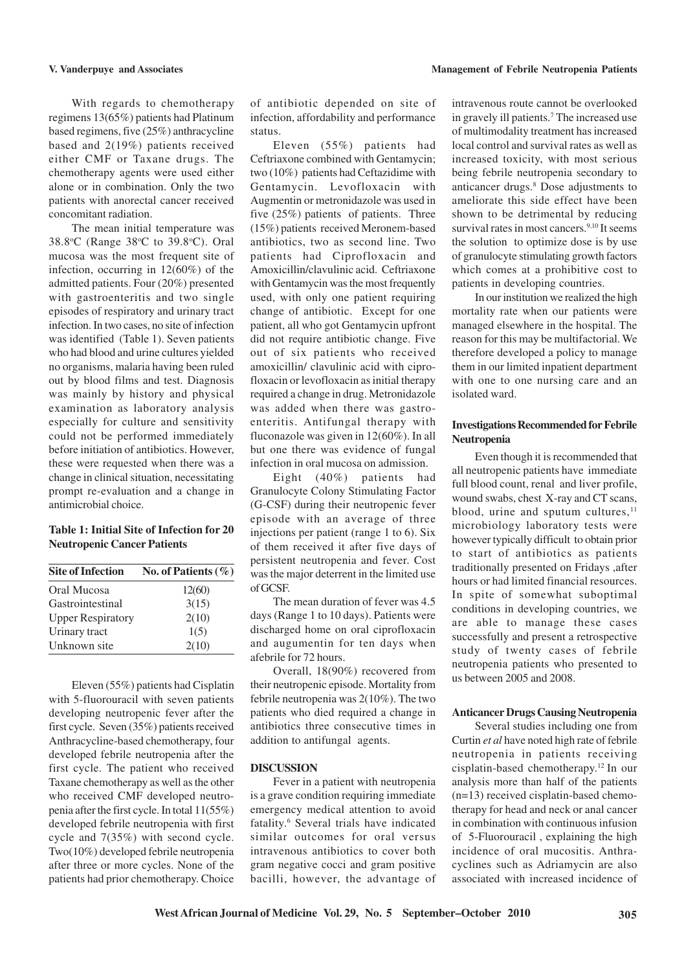With regards to chemotherapy regimens 13(65%) patients had Platinum based regimens, five (25%) anthracycline based and 2(19%) patients received either CMF or Taxane drugs. The chemotherapy agents were used either alone or in combination. Only the two patients with anorectal cancer received concomitant radiation.

The mean initial temperature was 38.8°C (Range 38°C to 39.8°C). Oral mucosa was the most frequent site of infection, occurring in 12(60%) of the admitted patients. Four (20%) presented with gastroenteritis and two single episodes of respiratory and urinary tract infection. In two cases, no site of infection was identified (Table 1). Seven patients who had blood and urine cultures yielded no organisms, malaria having been ruled out by blood films and test. Diagnosis was mainly by history and physical examination as laboratory analysis especially for culture and sensitivity could not be performed immediately before initiation of antibiotics. However, these were requested when there was a change in clinical situation, necessitating prompt re-evaluation and a change in antimicrobial choice.

# **Table 1: Initial Site of Infection for 20 Neutropenic Cancer Patients**

| <b>Site of Infection</b> | No. of Patients $(\% )$ |
|--------------------------|-------------------------|
| Oral Mucosa              | 12(60)                  |
| Gastrointestinal         | 3(15)                   |
| <b>Upper Respiratory</b> | 2(10)                   |
| Urinary tract            | 1(5)                    |
| Unknown site             | 2(10)                   |

Eleven (55%) patients had Cisplatin with 5-fluorouracil with seven patients developing neutropenic fever after the first cycle. Seven (35%) patients received Anthracycline-based chemotherapy, four developed febrile neutropenia after the first cycle. The patient who received Taxane chemotherapy as well as the other who received CMF developed neutropenia after the first cycle. In total 11(55%) developed febrile neutropenia with first cycle and 7(35%) with second cycle. Two(10%) developed febrile neutropenia after three or more cycles. None of the patients had prior chemotherapy. Choice

of antibiotic depended on site of infection, affordability and performance status.

Eleven (55%) patients had Ceftriaxone combined with Gentamycin; two (10%) patients had Ceftazidime with Gentamycin. Levofloxacin with Augmentin or metronidazole was used in five (25%) patients of patients. Three (15%) patients received Meronem-based antibiotics, two as second line. Two patients had Ciprofloxacin and Amoxicillin/clavulinic acid. Ceftriaxone with Gentamycin was the most frequently used, with only one patient requiring change of antibiotic. Except for one patient, all who got Gentamycin upfront did not require antibiotic change. Five out of six patients who received amoxicillin/ clavulinic acid with ciprofloxacin or levofloxacin as initial therapy required a change in drug. Metronidazole was added when there was gastroenteritis. Antifungal therapy with fluconazole was given in 12(60%). In all but one there was evidence of fungal infection in oral mucosa on admission.

Eight (40%) patients had Granulocyte Colony Stimulating Factor (G-CSF) during their neutropenic fever episode with an average of three injections per patient (range 1 to 6). Six of them received it after five days of persistent neutropenia and fever. Cost was the major deterrent in the limited use  $of GCSE$ 

The mean duration of fever was 4.5 days (Range 1 to 10 days). Patients were discharged home on oral ciprofloxacin and augumentin for ten days when afebrile for 72 hours.

Overall, 18(90%) recovered from their neutropenic episode. Mortality from febrile neutropenia was 2(10%). The two patients who died required a change in antibiotics three consecutive times in addition to antifungal agents.

### **DISCUSSION**

Fever in a patient with neutropenia is a grave condition requiring immediate emergency medical attention to avoid fatality. 6 Several trials have indicated similar outcomes for oral versus intravenous antibiotics to cover both gram negative cocci and gram positive bacilli, however, the advantage of

intravenous route cannot be overlooked in gravely ill patients.<sup>7</sup> The increased use of multimodality treatment has increased local control and survival rates as well as increased toxicity, with most serious being febrile neutropenia secondary to anticancer drugs.<sup>8</sup> Dose adjustments to ameliorate this side effect have been shown to be detrimental by reducing survival rates in most cancers.<sup>9,10</sup> It seems the solution to optimize dose is by use of granulocyte stimulating growth factors which comes at a prohibitive cost to patients in developing countries.

In our institution we realized the high mortality rate when our patients were managed elsewhere in the hospital. The reason for this may be multifactorial. We therefore developed a policy to manage them in our limited inpatient department with one to one nursing care and an isolated ward.

# **Investigations Recommended for Febrile Neutropenia**

Even though it is recommended that all neutropenic patients have immediate full blood count, renal and liver profile, wound swabs, chest X-ray and CT scans, blood, urine and sputum cultures, $<sup>11</sup>$ </sup> microbiology laboratory tests were however typically difficult to obtain prior to start of antibiotics as patients traditionally presented on Fridays ,after hours or had limited financial resources. In spite of somewhat suboptimal conditions in developing countries, we are able to manage these cases successfully and present a retrospective study of twenty cases of febrile neutropenia patients who presented to us between 2005 and 2008.

# **Anticancer Drugs Causing Neutropenia**

Several studies including one from Curtin *et al* have noted high rate of febrile neutropenia in patients receiving cisplatin-based chemotherapy.<sup>12</sup> In our analysis more than half of the patients (n=13) received cisplatin-based chemotherapy for head and neck or anal cancer in combination with continuous infusion of 5-Fluorouracil , explaining the high incidence of oral mucositis. Anthracyclines such as Adriamycin are also associated with increased incidence of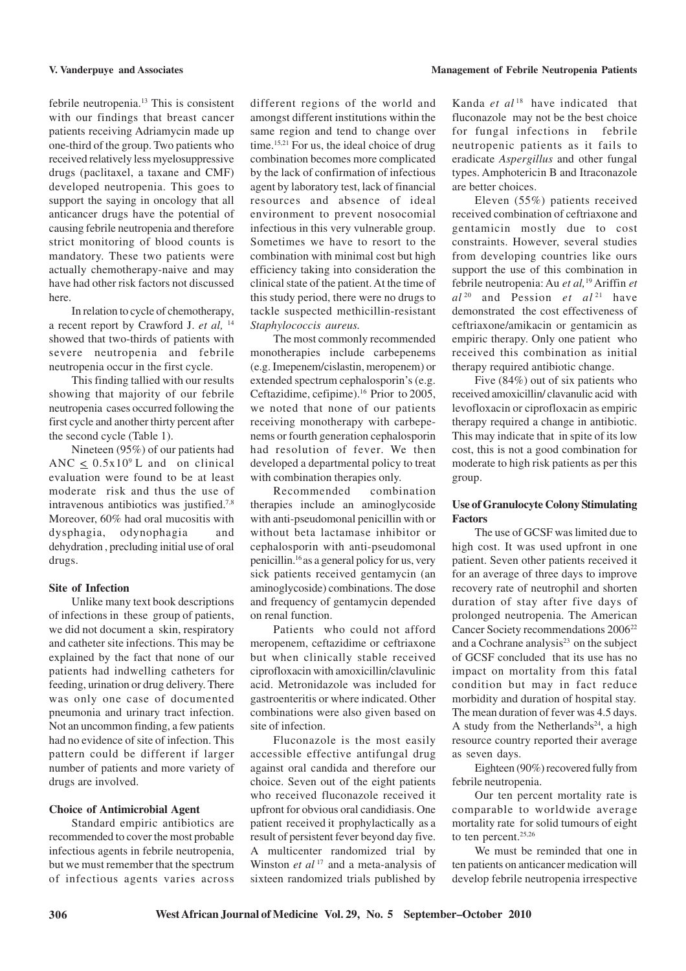febrile neutropenia.13 This is consistent with our findings that breast cancer patients receiving Adriamycin made up one-third of the group. Two patients who received relatively less myelosuppressive drugs (paclitaxel, a taxane and CMF) developed neutropenia. This goes to support the saying in oncology that all anticancer drugs have the potential of causing febrile neutropenia and therefore strict monitoring of blood counts is mandatory. These two patients were actually chemotherapy-naive and may have had other risk factors not discussed here.

In relation to cycle of chemotherapy, a recent report by Crawford J. *et al,* <sup>14</sup> showed that two-thirds of patients with severe neutropenia and febrile neutropenia occur in the first cycle.

This finding tallied with our results showing that majority of our febrile neutropenia cases occurred following the first cycle and another thirty percent after the second cycle (Table 1).

Nineteen (95%) of our patients had ANC  $< 0.5x10<sup>9</sup>$  L and on clinical evaluation were found to be at least moderate risk and thus the use of intravenous antibiotics was justified.<sup>7,8</sup> Moreover, 60% had oral mucositis with<br>dysphagia, odynophagia and dysphagia, odynophagia dehydration , precluding initial use of oral drugs.

### **Site of Infection**

Unlike many text book descriptions of infections in these group of patients, we did not document a skin, respiratory and catheter site infections. This may be explained by the fact that none of our patients had indwelling catheters for feeding, urination or drug delivery. There was only one case of documented pneumonia and urinary tract infection. Not an uncommon finding, a few patients had no evidence of site of infection. This pattern could be different if larger number of patients and more variety of drugs are involved.

### **Choice of Antimicrobial Agent**

Standard empiric antibiotics are recommended to cover the most probable infectious agents in febrile neutropenia, but we must remember that the spectrum of infectious agents varies across

different regions of the world and amongst different institutions within the same region and tend to change over time.<sup>15,21</sup> For us, the ideal choice of drug combination becomes more complicated by the lack of confirmation of infectious agent by laboratory test, lack of financial resources and absence of ideal environment to prevent nosocomial infectious in this very vulnerable group. Sometimes we have to resort to the combination with minimal cost but high efficiency taking into consideration the clinical state of the patient. At the time of this study period, there were no drugs to tackle suspected methicillin-resistant *Staphylococcis aureus.*

The most commonly recommended monotherapies include carbepenems (e.g. Imepenem/cislastin, meropenem) or extended spectrum cephalosporin's (e.g. Ceftazidime, cefipime).16 Prior to 2005, we noted that none of our patients receiving monotherapy with carbepenems or fourth generation cephalosporin had resolution of fever. We then developed a departmental policy to treat with combination therapies only.

Recommended combination therapies include an aminoglycoside with anti-pseudomonal penicillin with or without beta lactamase inhibitor or cephalosporin with anti-pseudomonal penicillin.16 as a general policy for us, very sick patients received gentamycin (an aminoglycoside) combinations. The dose and frequency of gentamycin depended on renal function.

Patients who could not afford meropenem, ceftazidime or ceftriaxone but when clinically stable received ciprofloxacin with amoxicillin/clavulinic acid. Metronidazole was included for gastroenteritis or where indicated. Other combinations were also given based on site of infection.

Fluconazole is the most easily accessible effective antifungal drug against oral candida and therefore our choice. Seven out of the eight patients who received fluconazole received it upfront for obvious oral candidiasis. One patient received it prophylactically as a result of persistent fever beyond day five. A multicenter randomized trial by Winston *et al*<sup>17</sup> and a meta-analysis of sixteen randomized trials published by

Kanda *et al*<sup>18</sup> have indicated that fluconazole may not be the best choice for fungal infections in febrile neutropenic patients as it fails to eradicate *Aspergillus* and other fungal types. Amphotericin B and Itraconazole are better choices.

Eleven (55%) patients received received combination of ceftriaxone and gentamicin mostly due to cost constraints. However, several studies from developing countries like ours support the use of this combination in febrile neutropenia: Au *et al,*<sup>19</sup> Ariffin *et al* <sup>20</sup> and Pession *et al* <sup>21</sup> have demonstrated the cost effectiveness of ceftriaxone/amikacin or gentamicin as empiric therapy. Only one patient who received this combination as initial therapy required antibiotic change.

Five (84%) out of six patients who received amoxicillin/ clavanulic acid with levofloxacin or ciprofloxacin as empiric therapy required a change in antibiotic. This may indicate that in spite of its low cost, this is not a good combination for moderate to high risk patients as per this group.

## **Use of Granulocyte Colony Stimulating Factors**

The use of GCSF was limited due to high cost. It was used upfront in one patient. Seven other patients received it for an average of three days to improve recovery rate of neutrophil and shorten duration of stay after five days of prolonged neutropenia. The American Cancer Society recommendations 2006<sup>22</sup> and a Cochrane analysis $23$  on the subject of GCSF concluded that its use has no impact on mortality from this fatal condition but may in fact reduce morbidity and duration of hospital stay. The mean duration of fever was 4.5 days. A study from the Netherlands<sup>24</sup>, a high resource country reported their average as seven days.

Eighteen (90%) recovered fully from febrile neutropenia.

Our ten percent mortality rate is comparable to worldwide average mortality rate for solid tumours of eight to ten percent.<sup>25,26</sup>

We must be reminded that one in ten patients on anticancer medication will develop febrile neutropenia irrespective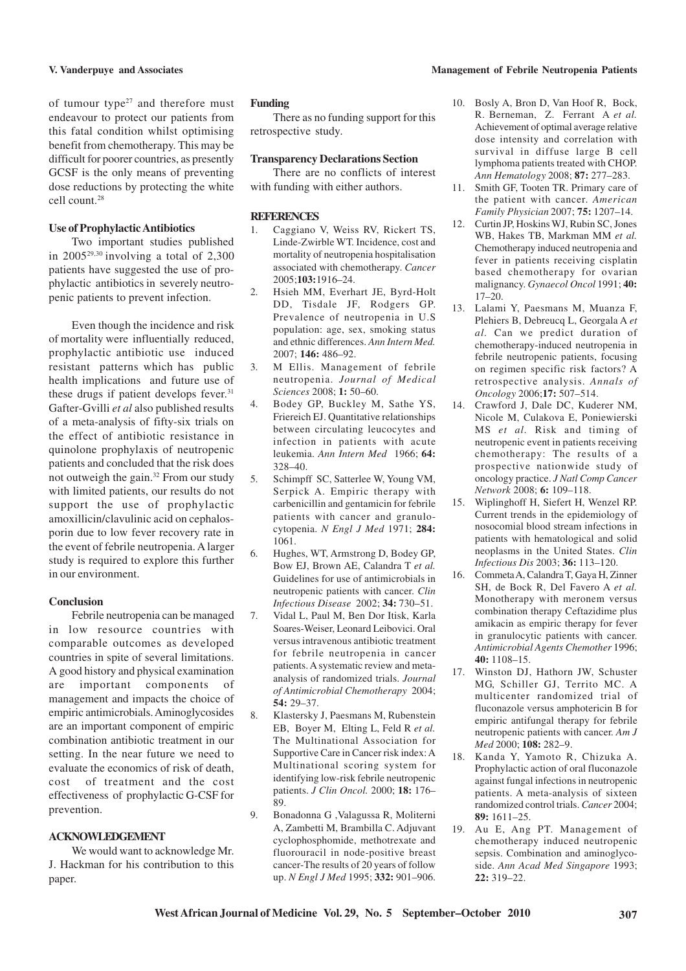of tumour type $27$  and therefore must endeavour to protect our patients from this fatal condition whilst optimising benefit from chemotherapy. This may be difficult for poorer countries, as presently GCSF is the only means of preventing dose reductions by protecting the white cell count.<sup>28</sup>

### **Use of Prophylactic Antibiotics**

Two important studies published in  $2005^{29,30}$  involving a total of 2,300 patients have suggested the use of prophylactic antibiotics in severely neutropenic patients to prevent infection.

Even though the incidence and risk of mortality were influentially reduced, prophylactic antibiotic use induced resistant patterns which has public health implications and future use of these drugs if patient develops fever. 31 Gafter-Gvilli *et al* also published results of a meta-analysis of fifty-six trials on the effect of antibiotic resistance in quinolone prophylaxis of neutropenic patients and concluded that the risk does not outweigh the gain.<sup>32</sup> From our study with limited patients, our results do not support the use of prophylactic amoxillicin/clavulinic acid on cephalosporin due to low fever recovery rate in the event of febrile neutropenia. A larger study is required to explore this further in our environment.

### **Conclusion**

Febrile neutropenia can be managed in low resource countries with comparable outcomes as developed countries in spite of several limitations. A good history and physical examination are important components of management and impacts the choice of empiric antimicrobials. Aminoglycosides are an important component of empiric combination antibiotic treatment in our setting. In the near future we need to evaluate the economics of risk of death, cost of treatment and the cost effectiveness of prophylactic G-CSF for prevention.

# **ACKNOWLEDGEMENT**

We would want to acknowledge Mr. J. Hackman for his contribution to this paper.

### **Funding**

There as no funding support for this retrospective study.

# **Transparency Declarations Section**

There are no conflicts of interest with funding with either authors.

#### **REFERENCES**

- Caggiano V, Weiss RV, Rickert TS, Linde-Zwirble WT. Incidence, cost and mortality of neutropenia hospitalisation associated with chemotherapy. *Cancer* 2005;**103:**1916–24.
- 2. Hsieh MM, Everhart JE, Byrd-Holt DD, Tisdale JF, Rodgers GP. Prevalence of neutropenia in U.S population: age, sex, smoking status and ethnic differences. *Ann Intern Med.* 2007; **146:** 486–92.
- 3. M Ellis. Management of febrile neutropenia. *Journal of Medical Sciences* 2008; **1:** 50–60.
- 4. Bodey GP, Buckley M, Sathe YS, Friereich EJ. Quantitative relationships between circulating leucocytes and infection in patients with acute leukemia. *Ann Intern Med* 1966; **64:** 328–40.
- 5. Schimpff SC, Satterlee W, Young VM, Serpick A. Empiric therapy with carbenicillin and gentamicin for febrile patients with cancer and granulocytopenia. *N Engl J Med* 1971; **284:** 1061.
- 6. Hughes, WT, Armstrong D, Bodey GP, Bow EJ, Brown AE, Calandra T *et al.* Guidelines for use of antimicrobials in neutropenic patients with cancer. *Clin Infectious Disease* 2002; **34:** 730–51.
- 7. Vidal L, Paul M, Ben Dor Itisk, Karla Soares-Weiser, Leonard Leibovici. Oral versus intravenous antibiotic treatment for febrile neutropenia in cancer patients. A systematic review and metaanalysis of randomized trials. *Journal of Antimicrobial Chemotherapy* 2004; **54:** 29–37.
- 8. Klastersky J, Paesmans M, Rubenstein EB, Boyer M, Elting L, Feld R *et al.* The Multinational Association for Supportive Care in Cancer risk index: A Multinational scoring system for identifying low-risk febrile neutropenic patients. *J Clin Oncol.* 2000; **18:** 176– 89.
- 9. Bonadonna G ,Valagussa R, Moliterni A, Zambetti M, Brambilla C. Adjuvant cyclophosphomide, methotrexate and fluorouracil in node-positive breast cancer-The results of 20 years of follow up. *N Engl J Med* 1995; **332:** 901–906.
- 10. Bosly A, Bron D, Van Hoof R, Bock, R. Berneman, Z. Ferrant A *et al.* Achievement of optimal average relative dose intensity and correlation with survival in diffuse large B cell lymphoma patients treated with CHOP. *Ann Hematology* 2008; **87:** 277–283.
- 11. Smith GF, Tooten TR. Primary care of the patient with cancer. *American Family Physician* 2007; **75:** 1207–14.
- 12. Curtin JP, Hoskins WJ, Rubin SC, Jones WB, Hakes TB, Markman MM *et al.* Chemotherapy induced neutropenia and fever in patients receiving cisplatin based chemotherapy for ovarian malignancy. *Gynaecol Oncol* 1991; **40:** 17–20.
- 13. Lalami Y, Paesmans M, Muanza F, Plehiers B, Debreucq L, Georgala A *et al.* Can we predict duration of chemotherapy-induced neutropenia in febrile neutropenic patients, focusing on regimen specific risk factors? A retrospective analysis. *Annals of Oncology* 2006;**17:** 507–514.
- 14. Crawford J, Dale DC, Kuderer NM, Nicole M, Culakova E, Poniewierski MS *et al.* Risk and timing of neutropenic event in patients receiving chemotherapy: The results of a prospective nationwide study of oncology practice. *J Natl Comp Cancer Network* 2008; **6:** 109–118.
- 15. Wiplinghoff H, Siefert H, Wenzel RP. Current trends in the epidemiology of nosocomial blood stream infections in patients with hematological and solid neoplasms in the United States. *Clin Infectious Dis* 2003; **36:** 113–120.
- 16. Commeta A, Calandra T, Gaya H, Zinner SH, de Bock R, Del Favero A *et al.* Monotherapy with meronem versus combination therapy Ceftazidime plus amikacin as empiric therapy for fever in granulocytic patients with cancer. *Antimicrobial Agents Chemother* 1996; **40:** 1108–15.
- 17. Winston DJ, Hathorn JW, Schuster MG, Schiller GJ, Territo MC. A multicenter randomized trial of fluconazole versus amphotericin B for empiric antifungal therapy for febrile neutropenic patients with cancer. *Am J Med* 2000; **108:** 282–9.
- 18. Kanda Y, Yamoto R, Chizuka A. Prophylactic action of oral fluconazole against fungal infections in neutropenic patients. A meta-analysis of sixteen randomized control trials. *Cancer* 2004; **89:** 1611–25.
- 19. Au E, Ang PT. Management of chemotherapy induced neutropenic sepsis. Combination and aminoglycoside. *Ann Acad Med Singapore* 1993; **22:** 319–22.